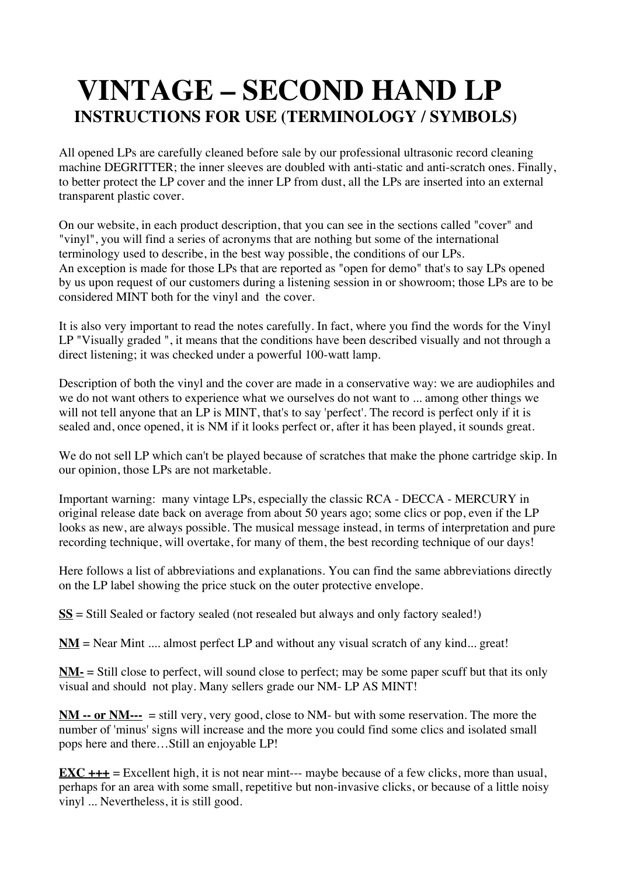# **VINTAGE – SECOND HAND LPINSTRUCTIONS FOR USE (TERMINOLOGY / SYMBOLS)**

All opened LPs are carefully cleaned before sale by our professional ultrasonic record cleaning machine DEGRITTER; the inner sleeves are doubled with anti-static and anti-scratch ones. Finally, to better protect the LP cover and the inner LP from dust, all the LPs are inserted into an external transparent plastic cover.

On our website, in each product description, that you can see in the sections called "cover" and "vinyl", you will find a series of acronyms that are nothing but some of the international terminology used to describe, in the best way possible, the conditions of our LPs. An exception is made for those LPs that are reported as "open for demo" that's to say LPs opened by us upon request of our customers during a listening session in or showroom; those LPs are to be considered MINT both for the vinyl and the cover.

It is also very important to read the notes carefully. In fact, where you find the words for the Vinyl LP "Visually graded ", it means that the conditions have been described visually and not through a direct listening; it was checked under a powerful 100-watt lamp.

Description of both the vinyl and the cover are made in a conservative way: we are audiophiles and we do not want others to experience what we ourselves do not want to ... among other things we will not tell anyone that an LP is MINT, that's to say 'perfect'. The record is perfect only if it is sealed and, once opened, it is NM if it looks perfect or, after it has been played, it sounds great.

We do not sell LP which can't be played because of scratches that make the phone cartridge skip. In our opinion, those LPs are not marketable.

Important warning: many vintage LPs, especially the classic RCA - DECCA - MERCURY in original release date back on average from about 50 years ago; some clics or pop, even if the LP looks as new, are always possible. The musical message instead, in terms of interpretation and pure recording technique, will overtake, for many of them, the best recording technique of our days!

Here follows a list of abbreviations and explanations. You can find the same abbreviations directly on the LP label showing the price stuck on the outer protective envelope.

**SS** = Still Sealed or factory sealed (not resealed but always and only factory sealed!)

**NM** = Near Mint .... almost perfect LP and without any visual scratch of any kind... great!

**NM-** = Still close to perfect, will sound close to perfect; may be some paper scuff but that its only visual and should not play. Many sellers grade our NM- LP AS MINT!

**NM -- or NM---** = still very, very good, close to NM- but with some reservation. The more the number of 'minus' signs will increase and the more you could find some clics and isolated small pops here and there…Still an enjoyable LP!

**EXC** +++ = Excellent high, it is not near mint--- maybe because of a few clicks, more than usual, perhaps for an area with some small, repetitive but non-invasive clicks, or because of a little noisy vinyl ... Nevertheless, it is still good.